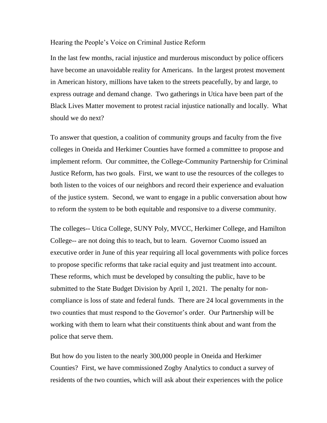### Hearing the People's Voice on Criminal Justice Reform

In the last few months, racial injustice and murderous misconduct by police officers have become an unavoidable reality for Americans. In the largest protest movement in American history, millions have taken to the streets peacefully, by and large, to express outrage and demand change. Two gatherings in Utica have been part of the Black Lives Matter movement to protest racial injustice nationally and locally. What should we do next?

To answer that question, a coalition of community groups and faculty from the five colleges in Oneida and Herkimer Counties have formed a committee to propose and implement reform. Our committee, the College-Community Partnership for Criminal Justice Reform, has two goals. First, we want to use the resources of the colleges to both listen to the voices of our neighbors and record their experience and evaluation of the justice system. Second, we want to engage in a public conversation about how to reform the system to be both equitable and responsive to a diverse community.

The colleges-- Utica College, SUNY Poly, MVCC, Herkimer College, and Hamilton College-- are not doing this to teach, but to learn. Governor Cuomo issued an executive order in June of this year requiring all local governments with police forces to propose specific reforms that take racial equity and just treatment into account. These reforms, which must be developed by consulting the public, have to be submitted to the State Budget Division by April 1, 2021. The penalty for noncompliance is loss of state and federal funds. There are 24 local governments in the two counties that must respond to the Governor's order. Our Partnership will be working with them to learn what their constituents think about and want from the police that serve them.

But how do you listen to the nearly 300,000 people in Oneida and Herkimer Counties? First, we have commissioned Zogby Analytics to conduct a survey of residents of the two counties, which will ask about their experiences with the police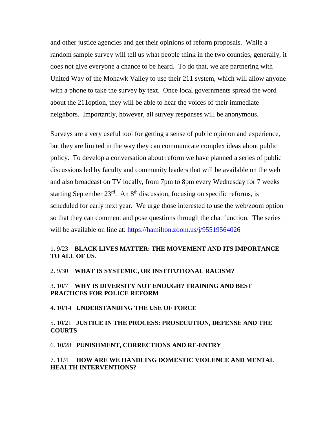and other justice agencies and get their opinions of reform proposals. While a random sample survey will tell us what people think in the two counties, generally, it does not give everyone a chance to be heard. To do that, we are partnering with United Way of the Mohawk Valley to use their 211 system, which will allow anyone with a phone to take the survey by text. Once local governments spread the word about the 211option, they will be able to hear the voices of their immediate neighbors. Importantly, however, all survey responses will be anonymous.

Surveys are a very useful tool for getting a sense of public opinion and experience, but they are limited in the way they can communicate complex ideas about public policy. To develop a conversation about reform we have planned a series of public discussions led by faculty and community leaders that will be available on the web and also broadcast on TV locally, from 7pm to 8pm every Wednesday for 7 weeks starting September  $23<sup>rd</sup>$ . An  $8<sup>th</sup>$  discussion, focusing on specific reforms, is scheduled for early next year. We urge those interested to use the web/zoom option so that they can comment and pose questions through the chat function. The series will be available on line at:<https://hamilton.zoom.us/j/95519564026>

## 1. 9/23 **BLACK LIVES MATTER: THE MOVEMENT AND ITS IMPORTANCE TO ALL OF US**.

#### 2. 9/30 **WHAT IS SYSTEMIC, OR INSTITUTIONAL RACISM?**

## 3. 10/7 **WHY IS DIVERSITY NOT ENOUGH? TRAINING AND BEST PRACTICES FOR POLICE REFORM**

4. 10/14 **UNDERSTANDING THE USE OF FORCE**

### 5. 10/21 **JUSTICE IN THE PROCESS: PROSECUTION, DEFENSE AND THE COURTS**

#### 6. 10/28 **PUNISHMENT, CORRECTIONS AND RE-ENTRY**

### 7. 11/4 **HOW ARE WE HANDLING DOMESTIC VIOLENCE AND MENTAL HEALTH INTERVENTIONS?**